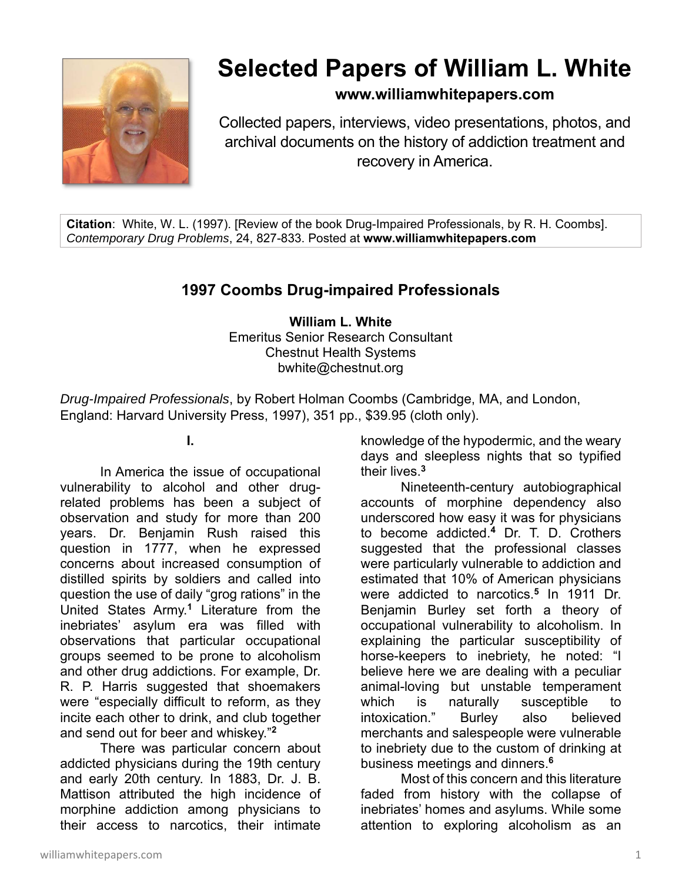

# **Selected Papers of William L. White**

## **www.williamwhitepapers.com**

Collected papers, interviews, video presentations, photos, and archival documents on the history of addiction treatment and recovery in America.

**Citation**: White, W. L. (1997). [Review of the book Drug-Impaired Professionals, by R. H. Coombs]. *Contemporary Drug Problems*, 24, 827-833. Posted at **www.williamwhitepapers.com** 

## **1997 Coombs Drug-impaired Professionals**

**William L. White**  Emeritus Senior Research Consultant Chestnut Health Systems bwhite@chestnut.org

*Drug-Impaired Professionals*, by Robert Holman Coombs (Cambridge, MA, and London, England: Harvard University Press, 1997), 351 pp., \$39.95 (cloth only).

**I.** 

 In America the issue of occupational vulnerability to alcohol and other drugrelated problems has been a subject of observation and study for more than 200 years. Dr. Benjamin Rush raised this question in 1777, when he expressed concerns about increased consumption of distilled spirits by soldiers and called into question the use of daily "grog rations" in the United States Army.**<sup>1</sup>** Literature from the inebriates' asylum era was filled with observations that particular occupational groups seemed to be prone to alcoholism and other drug addictions. For example, Dr. R. P. Harris suggested that shoemakers were "especially difficult to reform, as they incite each other to drink, and club together and send out for beer and whiskey."**<sup>2</sup>**

There was particular concern about addicted physicians during the 19th century and early 20th century. In 1883, Dr. J. B. Mattison attributed the high incidence of morphine addiction among physicians to their access to narcotics, their intimate

knowledge of the hypodermic, and the weary days and sleepless nights that so typified their lives.**<sup>3</sup>**

Nineteenth-century autobiographical accounts of morphine dependency also underscored how easy it was for physicians to become addicted.**<sup>4</sup>** Dr. T. D. Crothers suggested that the professional classes were particularly vulnerable to addiction and estimated that 10% of American physicians were addicted to narcotics.**<sup>5</sup>** In 1911 Dr. Benjamin Burley set forth a theory of occupational vulnerability to alcoholism. In explaining the particular susceptibility of horse-keepers to inebriety, he noted: "I believe here we are dealing with a peculiar animal-loving but unstable temperament which is naturally susceptible to intoxication." Burley also believed merchants and salespeople were vulnerable to inebriety due to the custom of drinking at business meetings and dinners.**<sup>6</sup>**

 Most of this concern and this literature faded from history with the collapse of inebriates' homes and asylums. While some attention to exploring alcoholism as an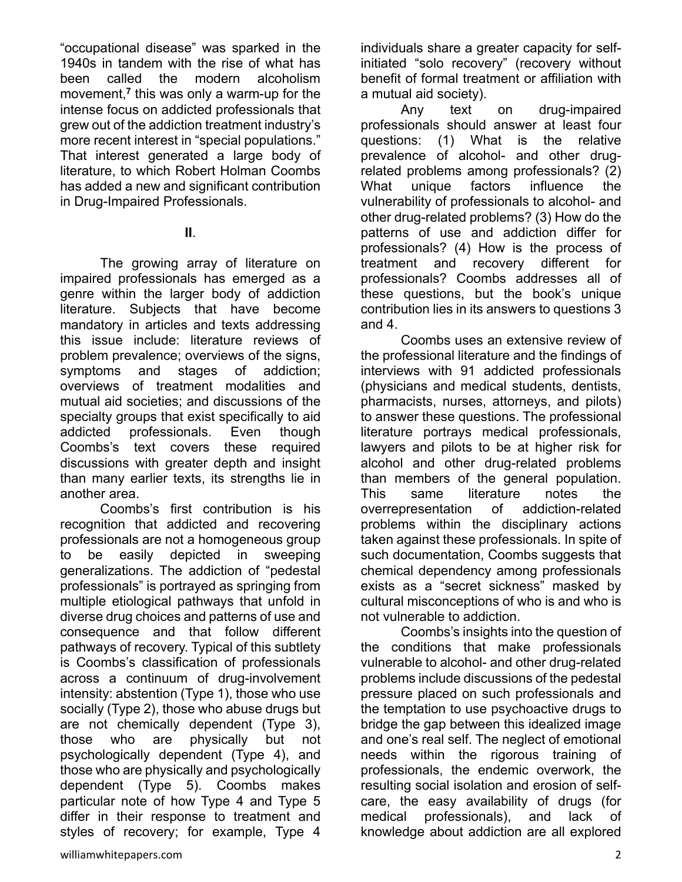"occupational disease" was sparked in the 1940s in tandem with the rise of what has been called the modern alcoholism movement,**<sup>7</sup>** this was only a warm-up for the intense focus on addicted professionals that grew out of the addiction treatment industry's more recent interest in "special populations." That interest generated a large body of literature, to which Robert Holman Coombs has added a new and significant contribution in Drug-Impaired Professionals.

**II**.

 The growing array of literature on impaired professionals has emerged as a genre within the larger body of addiction literature. Subjects that have become mandatory in articles and texts addressing this issue include: literature reviews of problem prevalence; overviews of the signs, symptoms and stages of addiction; overviews of treatment modalities and mutual aid societies; and discussions of the specialty groups that exist specifically to aid addicted professionals. Even though Coombs's text covers these required discussions with greater depth and insight than many earlier texts, its strengths lie in another area.

 Coombs's first contribution is his recognition that addicted and recovering professionals are not a homogeneous group to be easily depicted in sweeping generalizations. The addiction of "pedestal professionals" is portrayed as springing from multiple etiological pathways that unfold in diverse drug choices and patterns of use and consequence and that follow different pathways of recovery. Typical of this subtlety is Coombs's classification of professionals across a continuum of drug-involvement intensity: abstention (Type 1), those who use socially (Type 2), those who abuse drugs but are not chemically dependent (Type 3), those who are physically but not psychologically dependent (Type 4), and those who are physically and psychologically dependent (Type 5). Coombs makes particular note of how Type 4 and Type 5 differ in their response to treatment and styles of recovery; for example, Type 4

 Any text on drug-impaired professionals should answer at least four questions: (1) What is the relative prevalence of alcohol- and other drugrelated problems among professionals? (2) What unique factors influence the vulnerability of professionals to alcohol- and other drug-related problems? (3) How do the patterns of use and addiction differ for professionals? (4) How is the process of treatment and recovery different for professionals? Coombs addresses all of these questions, but the book's unique contribution lies in its answers to questions 3 and 4.

Coombs uses an extensive review of the professional literature and the findings of interviews with 91 addicted professionals (physicians and medical students, dentists, pharmacists, nurses, attorneys, and pilots) to answer these questions. The professional literature portrays medical professionals, lawyers and pilots to be at higher risk for alcohol and other drug-related problems than members of the general population. This same literature notes the overrepresentation of addiction-related problems within the disciplinary actions taken against these professionals. In spite of such documentation, Coombs suggests that chemical dependency among professionals exists as a "secret sickness" masked by cultural misconceptions of who is and who is not vulnerable to addiction.

 Coombs's insights into the question of the conditions that make professionals vulnerable to alcohol- and other drug-related problems include discussions of the pedestal pressure placed on such professionals and the temptation to use psychoactive drugs to bridge the gap between this idealized image and one's real self. The neglect of emotional needs within the rigorous training of professionals, the endemic overwork, the resulting social isolation and erosion of selfcare, the easy availability of drugs (for medical professionals), and lack of knowledge about addiction are all explored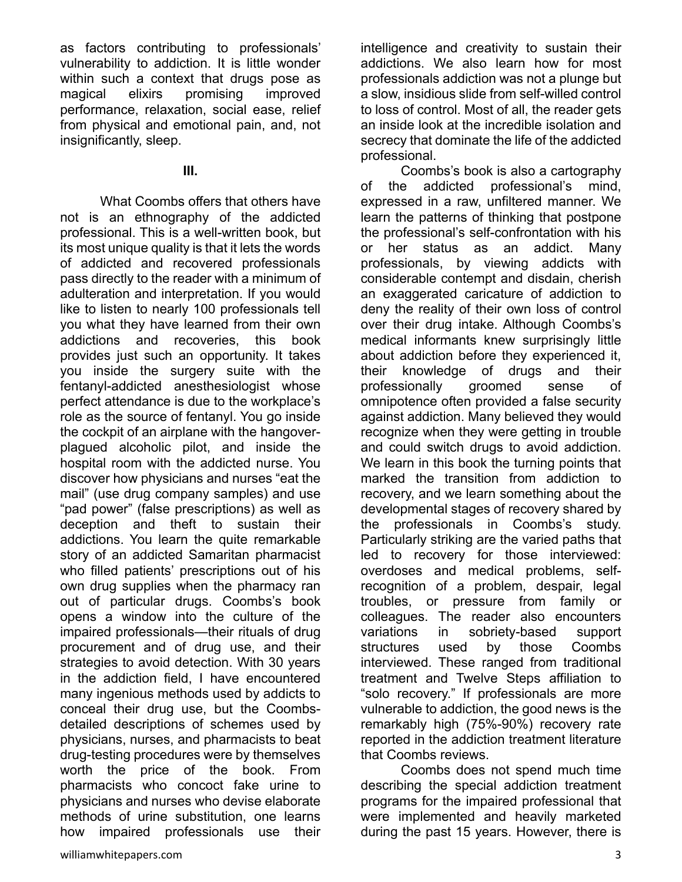as factors contributing to professionals' vulnerability to addiction. It is little wonder within such a context that drugs pose as magical elixirs promising improved performance, relaxation, social ease, relief from physical and emotional pain, and, not insignificantly, sleep.

### **III.**

 What Coombs offers that others have not is an ethnography of the addicted professional. This is a well-written book, but its most unique quality is that it lets the words of addicted and recovered professionals pass directly to the reader with a minimum of adulteration and interpretation. If you would like to listen to nearly 100 professionals tell you what they have learned from their own addictions and recoveries, this book provides just such an opportunity. It takes you inside the surgery suite with the fentanyl-addicted anesthesiologist whose perfect attendance is due to the workplace's role as the source of fentanyl. You go inside the cockpit of an airplane with the hangoverplagued alcoholic pilot, and inside the hospital room with the addicted nurse. You discover how physicians and nurses "eat the mail" (use drug company samples) and use "pad power" (false prescriptions) as well as deception and theft to sustain their addictions. You learn the quite remarkable story of an addicted Samaritan pharmacist who filled patients' prescriptions out of his own drug supplies when the pharmacy ran out of particular drugs. Coombs's book opens a window into the culture of the impaired professionals—their rituals of drug procurement and of drug use, and their strategies to avoid detection. With 30 years in the addiction field, I have encountered many ingenious methods used by addicts to conceal their drug use, but the Coombsdetailed descriptions of schemes used by physicians, nurses, and pharmacists to beat drug-testing procedures were by themselves worth the price of the book. From pharmacists who concoct fake urine to physicians and nurses who devise elaborate methods of urine substitution, one learns how impaired professionals use their

intelligence and creativity to sustain their addictions. We also learn how for most professionals addiction was not a plunge but a slow, insidious slide from self-willed control to loss of control. Most of all, the reader gets an inside look at the incredible isolation and secrecy that dominate the life of the addicted professional.

 Coombs's book is also a cartography of the addicted professional's mind, expressed in a raw, unfiltered manner. We learn the patterns of thinking that postpone the professional's self-confrontation with his or her status as an addict. Many professionals, by viewing addicts with considerable contempt and disdain, cherish an exaggerated caricature of addiction to deny the reality of their own loss of control over their drug intake. Although Coombs's medical informants knew surprisingly little about addiction before they experienced it, their knowledge of drugs and their professionally groomed sense of omnipotence often provided a false security against addiction. Many believed they would recognize when they were getting in trouble and could switch drugs to avoid addiction. We learn in this book the turning points that marked the transition from addiction to recovery, and we learn something about the developmental stages of recovery shared by the professionals in Coombs's study. Particularly striking are the varied paths that led to recovery for those interviewed: overdoses and medical problems, selfrecognition of a problem, despair, legal troubles, or pressure from family or colleagues. The reader also encounters variations in sobriety-based support structures used by those Coombs interviewed. These ranged from traditional treatment and Twelve Steps affiliation to "solo recovery." If professionals are more vulnerable to addiction, the good news is the remarkably high (75%-90%) recovery rate reported in the addiction treatment literature that Coombs reviews.

 Coombs does not spend much time describing the special addiction treatment programs for the impaired professional that were implemented and heavily marketed during the past 15 years. However, there is